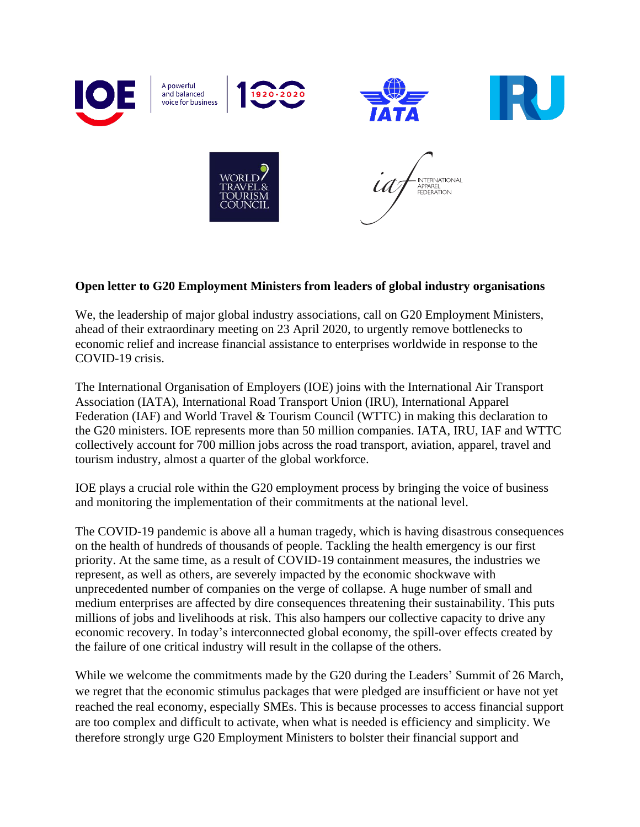

## **Open letter to G20 Employment Ministers from leaders of global industry organisations**

We, the leadership of major global industry associations, call on G20 Employment Ministers, ahead of their extraordinary meeting on 23 April 2020, to urgently remove bottlenecks to economic relief and increase financial assistance to enterprises worldwide in response to the COVID-19 crisis.

The International Organisation of Employers (IOE) joins with the International Air Transport Association (IATA), International Road Transport Union (IRU), International Apparel Federation (IAF) and World Travel & Tourism Council (WTTC) in making this declaration to the G20 ministers. IOE represents more than 50 million companies. IATA, IRU, IAF and WTTC collectively account for 700 million jobs across the road transport, aviation, apparel, travel and tourism industry, almost a quarter of the global workforce.

IOE plays a crucial role within the G20 employment process by bringing the voice of business and monitoring the implementation of their commitments at the national level.

The COVID-19 pandemic is above all a human tragedy, which is having disastrous consequences on the health of hundreds of thousands of people. Tackling the health emergency is our first priority. At the same time, as a result of COVID-19 containment measures, the industries we represent, as well as others, are severely impacted by the economic shockwave with unprecedented number of companies on the verge of collapse. A huge number of small and medium enterprises are affected by dire consequences threatening their sustainability. This puts millions of jobs and livelihoods at risk. This also hampers our collective capacity to drive any economic recovery. In today's interconnected global economy, the spill-over effects created by the failure of one critical industry will result in the collapse of the others.

While we welcome the commitments made by the G20 during the Leaders' Summit of 26 March, we regret that the economic stimulus packages that were pledged are insufficient or have not yet reached the real economy, especially SMEs. This is because processes to access financial support are too complex and difficult to activate, when what is needed is efficiency and simplicity. We therefore strongly urge G20 Employment Ministers to bolster their financial support and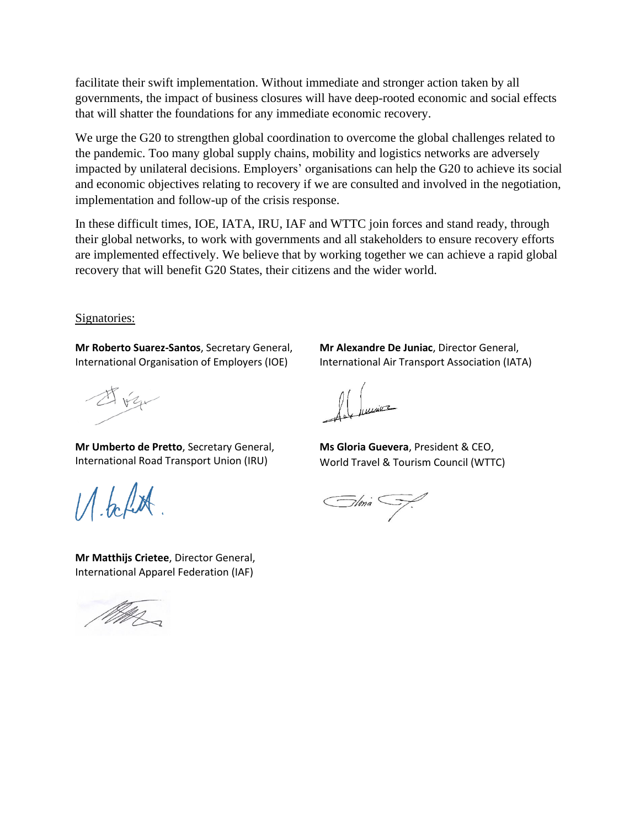facilitate their swift implementation. Without immediate and stronger action taken by all governments, the impact of business closures will have deep-rooted economic and social effects that will shatter the foundations for any immediate economic recovery.

We urge the G20 to strengthen global coordination to overcome the global challenges related to the pandemic. Too many global supply chains, mobility and logistics networks are adversely impacted by unilateral decisions. Employers' organisations can help the G20 to achieve its social and economic objectives relating to recovery if we are consulted and involved in the negotiation, implementation and follow-up of the crisis response.

In these difficult times, IOE, IATA, IRU, IAF and WTTC join forces and stand ready, through their global networks, to work with governments and all stakeholders to ensure recovery efforts are implemented effectively. We believe that by working together we can achieve a rapid global recovery that will benefit G20 States, their citizens and the wider world.

Signatories:

**Mr Roberto Suarez-Santos**, Secretary General, International Organisation of Employers (IOE)

A vz

**Mr Umberto de Pretto**, Secretary General, International Road Transport Union (IRU)

 $11.6$  for

**Mr Matthijs Crietee**, Director General, International Apparel Federation (IAF)



**Mr Alexandre De Juniac**, Director General, International Air Transport Association (IATA)

**Ms Gloria Guevera**, President & CEO, World Travel & Tourism Council (WTTC)

Słma SJ.